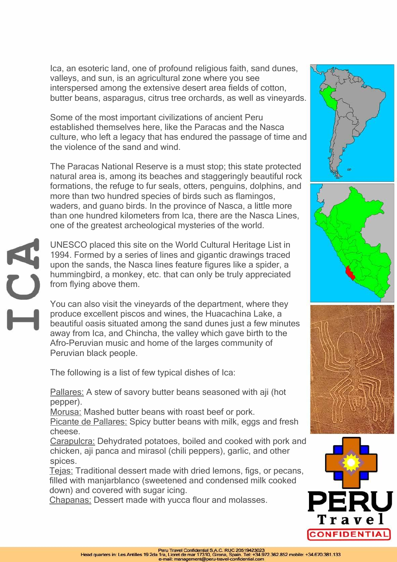Ica, an esoteric land, one of profound religious faith, sand dunes, valleys, and sun, is an agricultural zone where you see interspersed among the extensive desert area fields of cotton, butter beans, asparagus, citrus tree orchards, as well as vineyards.

Some of the most important civilizations of ancient Peru established themselves here, like the Paracas and the Nasca culture, who left a legacy that has endured the passage of time and the violence of the sand and wind.

The Paracas National Reserve is a must stop; this state protected natural area is, among its beaches and staggeringly beautiful rock formations, the refuge to fur seals, otters, penguins, dolphins, and more than two hundred species of birds such as flamingos, waders, and guano birds. In the province of Nasca, a little more than one hundred kilometers from Ica, there are the Nasca Lines, one of the greatest archeological mysteries of the world.

UNESCO placed this site on the World Cultural Heritage List in 1994. Formed by a series of lines and gigantic drawings traced upon the sands, the Nasca lines feature figures like a spider, a hummingbird, a monkey, etc. that can only be truly appreciated from flying above them.

You can also visit the vineyards of the department, where they produce excellent piscos and wines, the Huacachina Lake, a beautiful oasis situated among the sand dunes just a few minutes away from Ica, and Chincha, the valley which gave birth to the Afro-Peruvian music and home of the larges community of Peruvian black people.

The following is a list of few typical dishes of Ica:

EN.

Pallares: A stew of savory butter beans seasoned with aji (hot pepper).

Morusa: Mashed butter beans with roast beef or pork.

Picante de Pallares: Spicy butter beans with milk, eggs and fresh cheese.

Carapulcra: Dehydrated potatoes, boiled and cooked with pork and chicken, aji panca and mirasol (chili peppers), garlic, and other spices.

Tejas: Traditional dessert made with dried lemons, figs, or pecans, filled with manjarblanco (sweetened and condensed milk cooked down) and covered with sugar icing.

Chapanas: Dessert made with yucca flour and molasses.